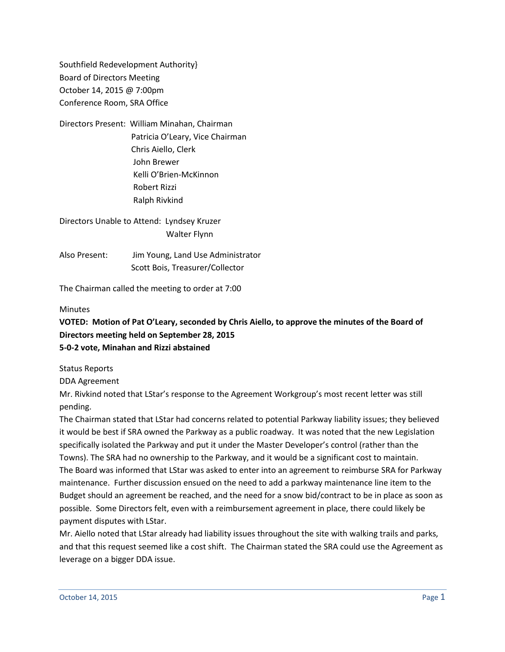Southfield Redevelopment Authority} Board of Directors Meeting October 14, 2015 @ 7:00pm Conference Room, SRA Office

Directors Present: William Minahan, Chairman Patricia O'Leary, Vice Chairman Chris Aiello, Clerk John Brewer Kelli O'Brien-McKinnon Robert Rizzi Ralph Rivkind

Directors Unable to Attend: Lyndsey Kruzer Walter Flynn

Also Present: Jim Young, Land Use Administrator Scott Bois, Treasurer/Collector

The Chairman called the meeting to order at 7:00

### **Minutes**

## **VOTED: Motion of Pat O'Leary, seconded by Chris Aiello, to approve the minutes of the Board of Directors meeting held on September 28, 2015 5-0-2 vote, Minahan and Rizzi abstained**

Status Reports

DDA Agreement

Mr. Rivkind noted that LStar's response to the Agreement Workgroup's most recent letter was still pending.

The Chairman stated that LStar had concerns related to potential Parkway liability issues; they believed it would be best if SRA owned the Parkway as a public roadway. It was noted that the new Legislation specifically isolated the Parkway and put it under the Master Developer's control (rather than the Towns). The SRA had no ownership to the Parkway, and it would be a significant cost to maintain. The Board was informed that LStar was asked to enter into an agreement to reimburse SRA for Parkway maintenance. Further discussion ensued on the need to add a parkway maintenance line item to the Budget should an agreement be reached, and the need for a snow bid/contract to be in place as soon as possible. Some Directors felt, even with a reimbursement agreement in place, there could likely be payment disputes with LStar.

Mr. Aiello noted that LStar already had liability issues throughout the site with walking trails and parks, and that this request seemed like a cost shift. The Chairman stated the SRA could use the Agreement as leverage on a bigger DDA issue.